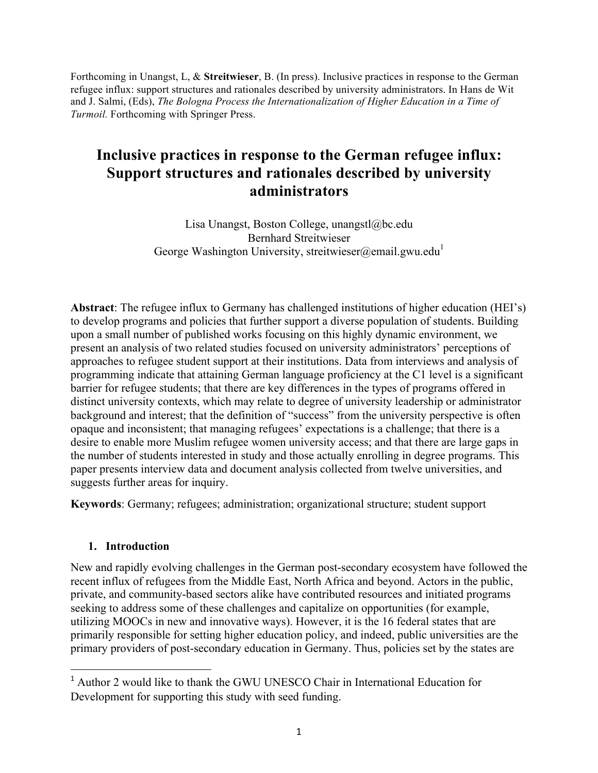Forthcoming in Unangst, L, & **Streitwieser**, B. (In press). Inclusive practices in response to the German refugee influx: support structures and rationales described by university administrators. In Hans de Wit and J. Salmi, (Eds), *The Bologna Process the Internationalization of Higher Education in a Time of Turmoil.* Forthcoming with Springer Press.

# **Inclusive practices in response to the German refugee influx: Support structures and rationales described by university administrators**

Lisa Unangst, Boston College, unangstl@bc.edu Bernhard Streitwieser George Washington University, streitwieser@email.gwu.edu<sup>1</sup>

**Abstract**: The refugee influx to Germany has challenged institutions of higher education (HEI's) to develop programs and policies that further support a diverse population of students. Building upon a small number of published works focusing on this highly dynamic environment, we present an analysis of two related studies focused on university administrators' perceptions of approaches to refugee student support at their institutions. Data from interviews and analysis of programming indicate that attaining German language proficiency at the C1 level is a significant barrier for refugee students; that there are key differences in the types of programs offered in distinct university contexts, which may relate to degree of university leadership or administrator background and interest; that the definition of "success" from the university perspective is often opaque and inconsistent; that managing refugees' expectations is a challenge; that there is a desire to enable more Muslim refugee women university access; and that there are large gaps in the number of students interested in study and those actually enrolling in degree programs. This paper presents interview data and document analysis collected from twelve universities, and suggests further areas for inquiry.

**Keywords**: Germany; refugees; administration; organizational structure; student support

# **1. Introduction**

<u> 1989 - Johann Barn, mars ann an t-Amhain an t-Amhain an t-Amhain an t-Amhain an t-Amhain an t-Amhain an t-Amh</u>

New and rapidly evolving challenges in the German post-secondary ecosystem have followed the recent influx of refugees from the Middle East, North Africa and beyond. Actors in the public, private, and community-based sectors alike have contributed resources and initiated programs seeking to address some of these challenges and capitalize on opportunities (for example, utilizing MOOCs in new and innovative ways). However, it is the 16 federal states that are primarily responsible for setting higher education policy, and indeed, public universities are the primary providers of post-secondary education in Germany. Thus, policies set by the states are

<sup>1</sup> Author 2 would like to thank the GWU UNESCO Chair in International Education for Development for supporting this study with seed funding.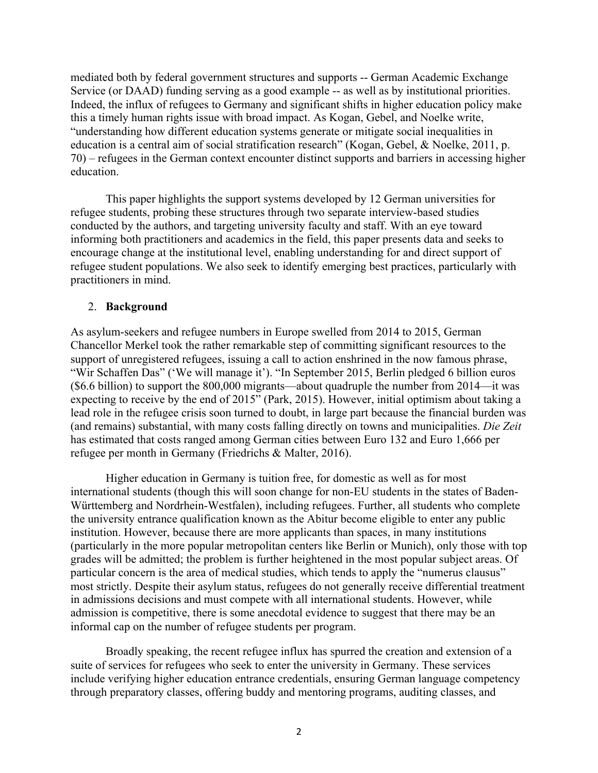mediated both by federal government structures and supports -- German Academic Exchange Service (or DAAD) funding serving as a good example -- as well as by institutional priorities. Indeed, the influx of refugees to Germany and significant shifts in higher education policy make this a timely human rights issue with broad impact. As Kogan, Gebel, and Noelke write, "understanding how different education systems generate or mitigate social inequalities in education is a central aim of social stratification research" (Kogan, Gebel, & Noelke, 2011, p. 70) – refugees in the German context encounter distinct supports and barriers in accessing higher education.

This paper highlights the support systems developed by 12 German universities for refugee students, probing these structures through two separate interview-based studies conducted by the authors, and targeting university faculty and staff. With an eye toward informing both practitioners and academics in the field, this paper presents data and seeks to encourage change at the institutional level, enabling understanding for and direct support of refugee student populations. We also seek to identify emerging best practices, particularly with practitioners in mind.

# 2. **Background**

As asylum-seekers and refugee numbers in Europe swelled from 2014 to 2015, German Chancellor Merkel took the rather remarkable step of committing significant resources to the support of unregistered refugees, issuing a call to action enshrined in the now famous phrase, "Wir Schaffen Das" ('We will manage it'). "In September 2015, Berlin pledged 6 billion euros (\$6.6 billion) to support the 800,000 migrants—about quadruple the number from 2014—it was expecting to receive by the end of 2015" (Park, 2015). However, initial optimism about taking a lead role in the refugee crisis soon turned to doubt, in large part because the financial burden was (and remains) substantial, with many costs falling directly on towns and municipalities. *Die Zeit* has estimated that costs ranged among German cities between Euro 132 and Euro 1,666 per refugee per month in Germany (Friedrichs & Malter, 2016).

Higher education in Germany is tuition free, for domestic as well as for most international students (though this will soon change for non-EU students in the states of Baden-Württemberg and Nordrhein-Westfalen), including refugees. Further, all students who complete the university entrance qualification known as the Abitur become eligible to enter any public institution. However, because there are more applicants than spaces, in many institutions (particularly in the more popular metropolitan centers like Berlin or Munich), only those with top grades will be admitted; the problem is further heightened in the most popular subject areas. Of particular concern is the area of medical studies, which tends to apply the "numerus clausus" most strictly. Despite their asylum status, refugees do not generally receive differential treatment in admissions decisions and must compete with all international students. However, while admission is competitive, there is some anecdotal evidence to suggest that there may be an informal cap on the number of refugee students per program.

Broadly speaking, the recent refugee influx has spurred the creation and extension of a suite of services for refugees who seek to enter the university in Germany. These services include verifying higher education entrance credentials, ensuring German language competency through preparatory classes, offering buddy and mentoring programs, auditing classes, and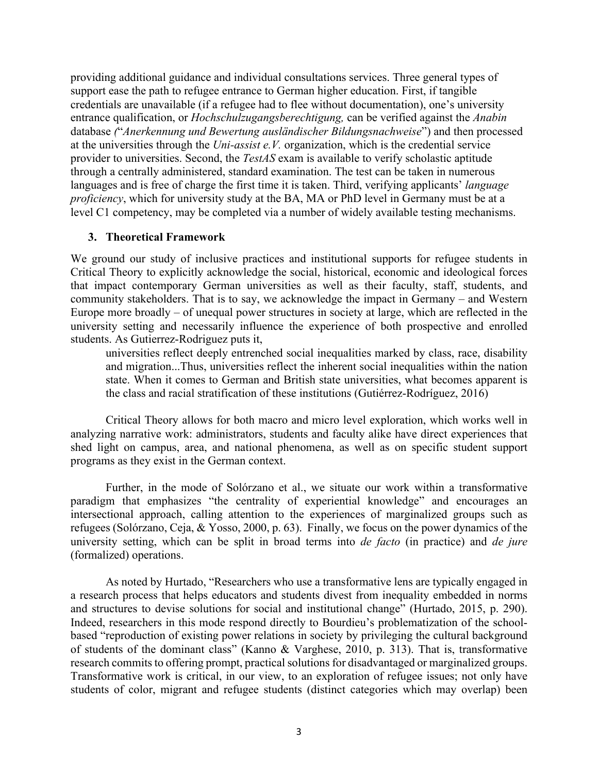providing additional guidance and individual consultations services. Three general types of support ease the path to refugee entrance to German higher education. First, if tangible credentials are unavailable (if a refugee had to flee without documentation), one's university entrance qualification, or *Hochschulzugangsberechtigung,* can be verified against the *Anabin*  database *(*"*Anerkennung und Bewertung ausländischer Bildungsnachweise*") and then processed at the universities through the *Uni-assist e.V.* organization, which is the credential service provider to universities. Second, the *TestAS* exam is available to verify scholastic aptitude through a centrally administered, standard examination. The test can be taken in numerous languages and is free of charge the first time it is taken. Third, verifying applicants' *language proficiency*, which for university study at the BA, MA or PhD level in Germany must be at a level C1 competency, may be completed via a number of widely available testing mechanisms.

# **3. Theoretical Framework**

We ground our study of inclusive practices and institutional supports for refugee students in Critical Theory to explicitly acknowledge the social, historical, economic and ideological forces that impact contemporary German universities as well as their faculty, staff, students, and community stakeholders. That is to say, we acknowledge the impact in Germany – and Western Europe more broadly – of unequal power structures in society at large, which are reflected in the university setting and necessarily influence the experience of both prospective and enrolled students. As Gutierrez-Rodriguez puts it,

universities reflect deeply entrenched social inequalities marked by class, race, disability and migration...Thus, universities reflect the inherent social inequalities within the nation state. When it comes to German and British state universities, what becomes apparent is the class and racial stratification of these institutions (Gutiérrez-Rodríguez, 2016)

Critical Theory allows for both macro and micro level exploration, which works well in analyzing narrative work: administrators, students and faculty alike have direct experiences that shed light on campus, area, and national phenomena, as well as on specific student support programs as they exist in the German context.

Further, in the mode of Solórzano et al., we situate our work within a transformative paradigm that emphasizes "the centrality of experiential knowledge" and encourages an intersectional approach, calling attention to the experiences of marginalized groups such as refugees (Solórzano, Ceja, & Yosso, 2000, p. 63). Finally, we focus on the power dynamics of the university setting, which can be split in broad terms into *de facto* (in practice) and *de jure* (formalized) operations.

As noted by Hurtado, "Researchers who use a transformative lens are typically engaged in a research process that helps educators and students divest from inequality embedded in norms and structures to devise solutions for social and institutional change" (Hurtado, 2015, p. 290). Indeed, researchers in this mode respond directly to Bourdieu's problematization of the schoolbased "reproduction of existing power relations in society by privileging the cultural background of students of the dominant class" (Kanno & Varghese, 2010, p. 313). That is, transformative research commits to offering prompt, practical solutions for disadvantaged or marginalized groups. Transformative work is critical, in our view, to an exploration of refugee issues; not only have students of color, migrant and refugee students (distinct categories which may overlap) been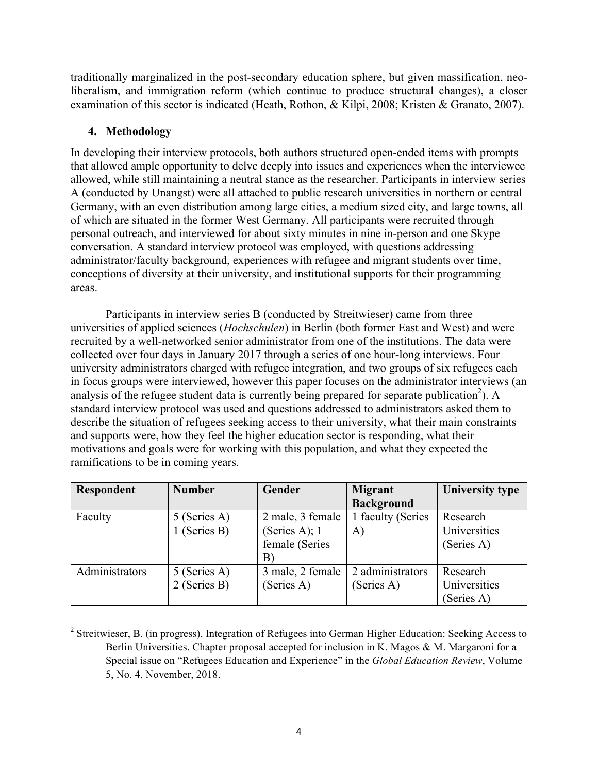traditionally marginalized in the post-secondary education sphere, but given massification, neoliberalism, and immigration reform (which continue to produce structural changes), a closer examination of this sector is indicated (Heath, Rothon, & Kilpi, 2008; Kristen & Granato, 2007).

# **4. Methodology**

<u> 1989 - Johann Barn, mars ann an t-Amhain an t-Amhain an t-Amhain an t-Amhain an t-Amhain an t-Amhain an t-Amh</u>

In developing their interview protocols, both authors structured open-ended items with prompts that allowed ample opportunity to delve deeply into issues and experiences when the interviewee allowed, while still maintaining a neutral stance as the researcher. Participants in interview series A (conducted by Unangst) were all attached to public research universities in northern or central Germany, with an even distribution among large cities, a medium sized city, and large towns, all of which are situated in the former West Germany. All participants were recruited through personal outreach, and interviewed for about sixty minutes in nine in-person and one Skype conversation. A standard interview protocol was employed, with questions addressing administrator/faculty background, experiences with refugee and migrant students over time, conceptions of diversity at their university, and institutional supports for their programming areas.

Participants in interview series B (conducted by Streitwieser) came from three universities of applied sciences (*Hochschulen*) in Berlin (both former East and West) and were recruited by a well-networked senior administrator from one of the institutions. The data were collected over four days in January 2017 through a series of one hour-long interviews. Four university administrators charged with refugee integration, and two groups of six refugees each in focus groups were interviewed, however this paper focuses on the administrator interviews (an analysis of the refugee student data is currently being prepared for separate publication<sup>2</sup>). A standard interview protocol was used and questions addressed to administrators asked them to describe the situation of refugees seeking access to their university, what their main constraints and supports were, how they feel the higher education sector is responding, what their motivations and goals were for working with this population, and what they expected the ramifications to be in coming years.

| <b>Respondent</b> | <b>Number</b> | Gender           | <b>Migrant</b>    | <b>University type</b> |
|-------------------|---------------|------------------|-------------------|------------------------|
|                   |               |                  | <b>Background</b> |                        |
| Faculty           | 5 (Series A)  | 2 male, 3 female | 1 faculty (Series | Research               |
|                   | 1 (Series B)  | (Series A); $1$  | A)                | Universities           |
|                   |               | female (Series   |                   | (Series A)             |
|                   |               | B)               |                   |                        |
| Administrators    | 5 (Series A)  | 3 male, 2 female | 2 administrators  | Research               |
|                   | 2 (Series B)  | (Series A)       | (Series A)        | Universities           |
|                   |               |                  |                   | (Series A)             |

<sup>&</sup>lt;sup>2</sup> Streitwieser, B. (in progress). Integration of Refugees into German Higher Education: Seeking Access to Berlin Universities. Chapter proposal accepted for inclusion in K. Magos  $\&$  M. Margaroni for a Special issue on "Refugees Education and Experience" in the *Global Education Review*, Volume 5, No. 4, November, 2018.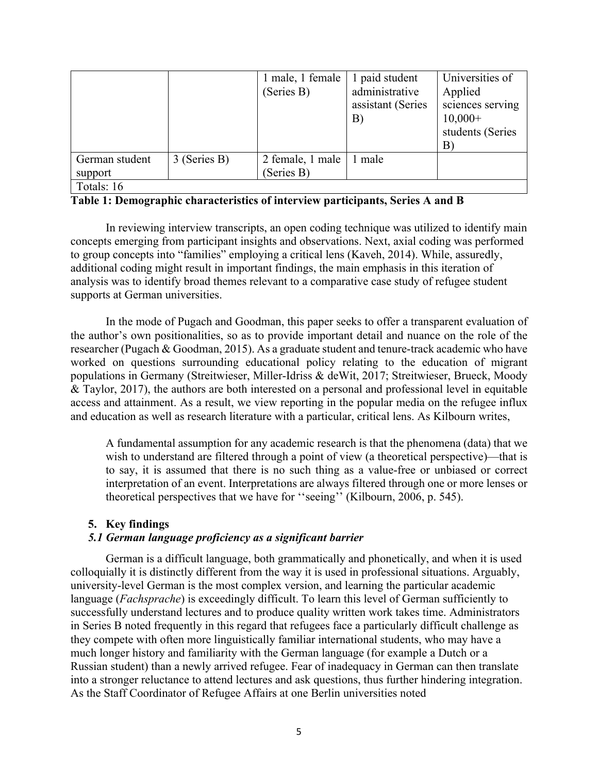|                |              | 1 male, 1 female<br>(Series B) | 1 paid student<br>administrative<br>assistant (Series<br>$\mathbf{B}$ | Universities of<br>Applied<br>sciences serving<br>$10,000+$<br>students (Series<br>B) |
|----------------|--------------|--------------------------------|-----------------------------------------------------------------------|---------------------------------------------------------------------------------------|
| German student | 3 (Series B) | 2 female, 1 male               | 1 male                                                                |                                                                                       |
| support        |              | (Series B)                     |                                                                       |                                                                                       |
| Totals: 16     |              |                                |                                                                       |                                                                                       |

**Table 1: Demographic characteristics of interview participants, Series A and B**

In reviewing interview transcripts, an open coding technique was utilized to identify main concepts emerging from participant insights and observations. Next, axial coding was performed to group concepts into "families" employing a critical lens (Kaveh, 2014). While, assuredly, additional coding might result in important findings, the main emphasis in this iteration of analysis was to identify broad themes relevant to a comparative case study of refugee student supports at German universities.

In the mode of Pugach and Goodman, this paper seeks to offer a transparent evaluation of the author's own positionalities, so as to provide important detail and nuance on the role of the researcher (Pugach & Goodman, 2015). As a graduate student and tenure-track academic who have worked on questions surrounding educational policy relating to the education of migrant populations in Germany (Streitwieser, Miller-Idriss & deWit, 2017; Streitwieser, Brueck, Moody  $& Taylor, 2017$ , the authors are both interested on a personal and professional level in equitable access and attainment. As a result, we view reporting in the popular media on the refugee influx and education as well as research literature with a particular, critical lens. As Kilbourn writes,

A fundamental assumption for any academic research is that the phenomena (data) that we wish to understand are filtered through a point of view (a theoretical perspective)—that is to say, it is assumed that there is no such thing as a value-free or unbiased or correct interpretation of an event. Interpretations are always filtered through one or more lenses or theoretical perspectives that we have for ''seeing'' (Kilbourn, 2006, p. 545).

# **5. Key findings**

# *5.1 German language proficiency as a significant barrier*

German is a difficult language, both grammatically and phonetically, and when it is used colloquially it is distinctly different from the way it is used in professional situations. Arguably, university-level German is the most complex version, and learning the particular academic language (*Fachsprache*) is exceedingly difficult. To learn this level of German sufficiently to successfully understand lectures and to produce quality written work takes time. Administrators in Series B noted frequently in this regard that refugees face a particularly difficult challenge as they compete with often more linguistically familiar international students, who may have a much longer history and familiarity with the German language (for example a Dutch or a Russian student) than a newly arrived refugee. Fear of inadequacy in German can then translate into a stronger reluctance to attend lectures and ask questions, thus further hindering integration. As the Staff Coordinator of Refugee Affairs at one Berlin universities noted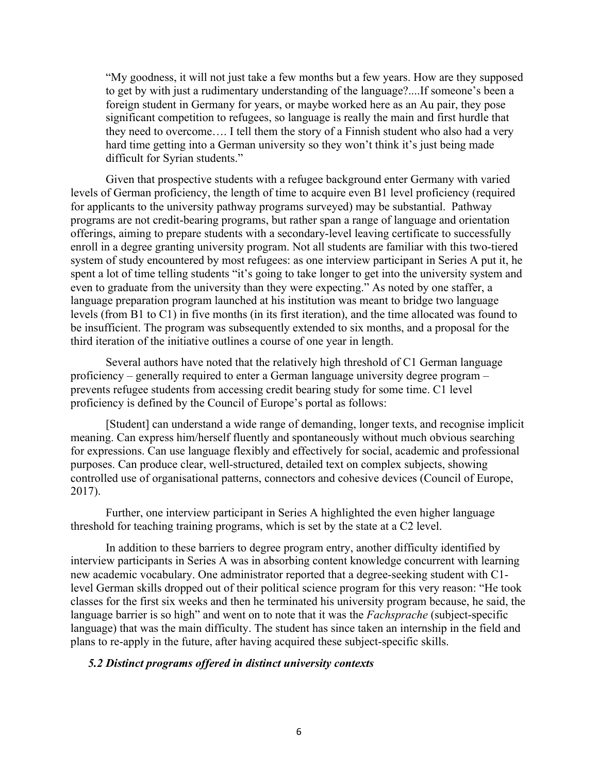"My goodness, it will not just take a few months but a few years. How are they supposed to get by with just a rudimentary understanding of the language?....If someone's been a foreign student in Germany for years, or maybe worked here as an Au pair, they pose significant competition to refugees, so language is really the main and first hurdle that they need to overcome…. I tell them the story of a Finnish student who also had a very hard time getting into a German university so they won't think it's just being made difficult for Syrian students."

Given that prospective students with a refugee background enter Germany with varied levels of German proficiency, the length of time to acquire even B1 level proficiency (required for applicants to the university pathway programs surveyed) may be substantial. Pathway programs are not credit-bearing programs, but rather span a range of language and orientation offerings, aiming to prepare students with a secondary-level leaving certificate to successfully enroll in a degree granting university program. Not all students are familiar with this two-tiered system of study encountered by most refugees: as one interview participant in Series A put it, he spent a lot of time telling students "it's going to take longer to get into the university system and even to graduate from the university than they were expecting." As noted by one staffer, a language preparation program launched at his institution was meant to bridge two language levels (from B1 to C1) in five months (in its first iteration), and the time allocated was found to be insufficient. The program was subsequently extended to six months, and a proposal for the third iteration of the initiative outlines a course of one year in length.

Several authors have noted that the relatively high threshold of C1 German language proficiency – generally required to enter a German language university degree program – prevents refugee students from accessing credit bearing study for some time. C1 level proficiency is defined by the Council of Europe's portal as follows:

[Student] can understand a wide range of demanding, longer texts, and recognise implicit meaning. Can express him/herself fluently and spontaneously without much obvious searching for expressions. Can use language flexibly and effectively for social, academic and professional purposes. Can produce clear, well-structured, detailed text on complex subjects, showing controlled use of organisational patterns, connectors and cohesive devices (Council of Europe, 2017).

Further, one interview participant in Series A highlighted the even higher language threshold for teaching training programs, which is set by the state at a C2 level.

In addition to these barriers to degree program entry, another difficulty identified by interview participants in Series A was in absorbing content knowledge concurrent with learning new academic vocabulary. One administrator reported that a degree-seeking student with C1 level German skills dropped out of their political science program for this very reason: "He took classes for the first six weeks and then he terminated his university program because, he said, the language barrier is so high" and went on to note that it was the *Fachsprache* (subject-specific language) that was the main difficulty. The student has since taken an internship in the field and plans to re-apply in the future, after having acquired these subject-specific skills.

#### *5.2 Distinct programs offered in distinct university contexts*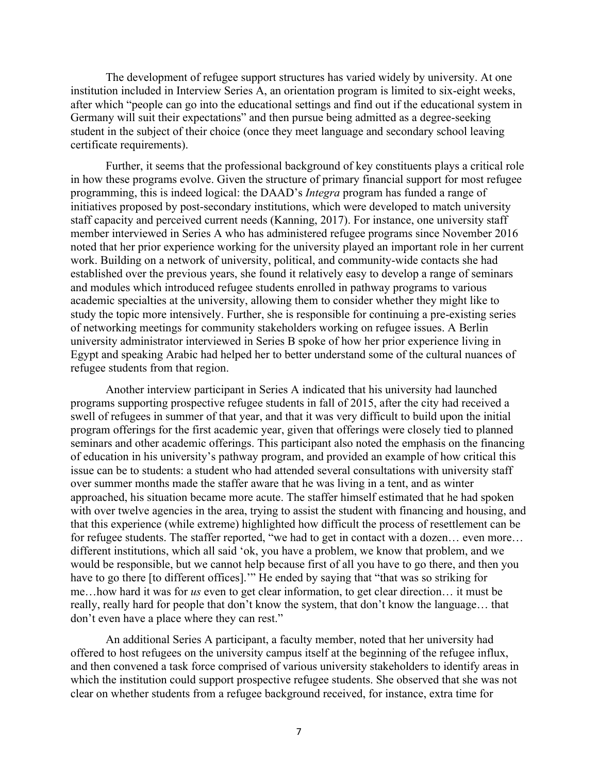The development of refugee support structures has varied widely by university. At one institution included in Interview Series A, an orientation program is limited to six-eight weeks, after which "people can go into the educational settings and find out if the educational system in Germany will suit their expectations" and then pursue being admitted as a degree-seeking student in the subject of their choice (once they meet language and secondary school leaving certificate requirements).

Further, it seems that the professional background of key constituents plays a critical role in how these programs evolve. Given the structure of primary financial support for most refugee programming, this is indeed logical: the DAAD's *Integra* program has funded a range of initiatives proposed by post-secondary institutions, which were developed to match university staff capacity and perceived current needs (Kanning, 2017). For instance, one university staff member interviewed in Series A who has administered refugee programs since November 2016 noted that her prior experience working for the university played an important role in her current work. Building on a network of university, political, and community-wide contacts she had established over the previous years, she found it relatively easy to develop a range of seminars and modules which introduced refugee students enrolled in pathway programs to various academic specialties at the university, allowing them to consider whether they might like to study the topic more intensively. Further, she is responsible for continuing a pre-existing series of networking meetings for community stakeholders working on refugee issues. A Berlin university administrator interviewed in Series B spoke of how her prior experience living in Egypt and speaking Arabic had helped her to better understand some of the cultural nuances of refugee students from that region.

Another interview participant in Series A indicated that his university had launched programs supporting prospective refugee students in fall of 2015, after the city had received a swell of refugees in summer of that year, and that it was very difficult to build upon the initial program offerings for the first academic year, given that offerings were closely tied to planned seminars and other academic offerings. This participant also noted the emphasis on the financing of education in his university's pathway program, and provided an example of how critical this issue can be to students: a student who had attended several consultations with university staff over summer months made the staffer aware that he was living in a tent, and as winter approached, his situation became more acute. The staffer himself estimated that he had spoken with over twelve agencies in the area, trying to assist the student with financing and housing, and that this experience (while extreme) highlighted how difficult the process of resettlement can be for refugee students. The staffer reported, "we had to get in contact with a dozen... even more... different institutions, which all said 'ok, you have a problem, we know that problem, and we would be responsible, but we cannot help because first of all you have to go there, and then you have to go there [to different offices].'" He ended by saying that "that was so striking for me…how hard it was for *us* even to get clear information, to get clear direction… it must be really, really hard for people that don't know the system, that don't know the language… that don't even have a place where they can rest."

An additional Series A participant, a faculty member, noted that her university had offered to host refugees on the university campus itself at the beginning of the refugee influx, and then convened a task force comprised of various university stakeholders to identify areas in which the institution could support prospective refugee students. She observed that she was not clear on whether students from a refugee background received, for instance, extra time for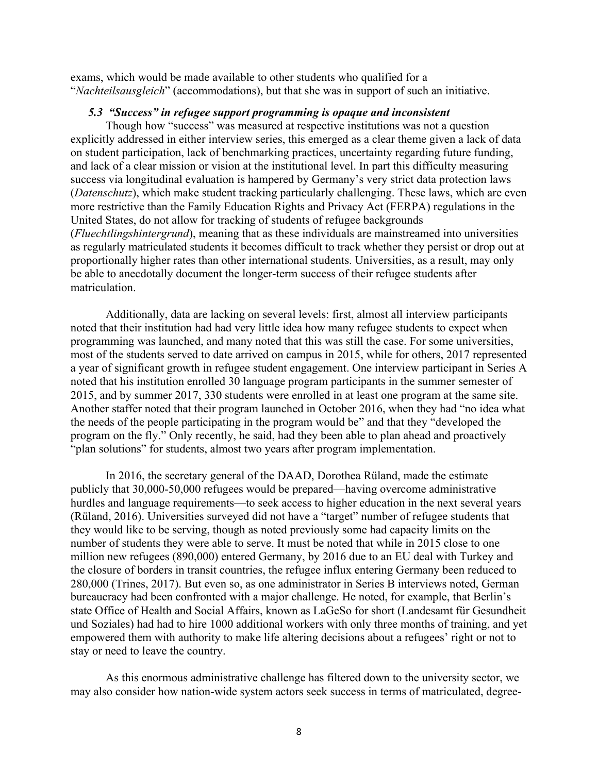exams, which would be made available to other students who qualified for a "*Nachteilsausgleich*" (accommodations), but that she was in support of such an initiative.

#### *5.3 "Success" in refugee support programming is opaque and inconsistent*

Though how "success" was measured at respective institutions was not a question explicitly addressed in either interview series, this emerged as a clear theme given a lack of data on student participation, lack of benchmarking practices, uncertainty regarding future funding, and lack of a clear mission or vision at the institutional level. In part this difficulty measuring success via longitudinal evaluation is hampered by Germany's very strict data protection laws (*Datenschutz*), which make student tracking particularly challenging. These laws, which are even more restrictive than the Family Education Rights and Privacy Act (FERPA) regulations in the United States, do not allow for tracking of students of refugee backgrounds (*Fluechtlingshintergrund*), meaning that as these individuals are mainstreamed into universities as regularly matriculated students it becomes difficult to track whether they persist or drop out at proportionally higher rates than other international students. Universities, as a result, may only be able to anecdotally document the longer-term success of their refugee students after matriculation.

Additionally, data are lacking on several levels: first, almost all interview participants noted that their institution had had very little idea how many refugee students to expect when programming was launched, and many noted that this was still the case. For some universities, most of the students served to date arrived on campus in 2015, while for others, 2017 represented a year of significant growth in refugee student engagement. One interview participant in Series A noted that his institution enrolled 30 language program participants in the summer semester of 2015, and by summer 2017, 330 students were enrolled in at least one program at the same site. Another staffer noted that their program launched in October 2016, when they had "no idea what the needs of the people participating in the program would be" and that they "developed the program on the fly." Only recently, he said, had they been able to plan ahead and proactively "plan solutions" for students, almost two years after program implementation.

In 2016, the secretary general of the DAAD, Dorothea Rüland, made the estimate publicly that 30,000-50,000 refugees would be prepared—having overcome administrative hurdles and language requirements—to seek access to higher education in the next several years (Rüland, 2016). Universities surveyed did not have a "target" number of refugee students that they would like to be serving, though as noted previously some had capacity limits on the number of students they were able to serve. It must be noted that while in 2015 close to one million new refugees (890,000) entered Germany, by 2016 due to an EU deal with Turkey and the closure of borders in transit countries, the refugee influx entering Germany been reduced to 280,000 (Trines, 2017). But even so, as one administrator in Series B interviews noted, German bureaucracy had been confronted with a major challenge. He noted, for example, that Berlin's state Office of Health and Social Affairs, known as LaGeSo for short (Landesamt für Gesundheit und Soziales) had had to hire 1000 additional workers with only three months of training, and yet empowered them with authority to make life altering decisions about a refugees' right or not to stay or need to leave the country.

As this enormous administrative challenge has filtered down to the university sector, we may also consider how nation-wide system actors seek success in terms of matriculated, degree-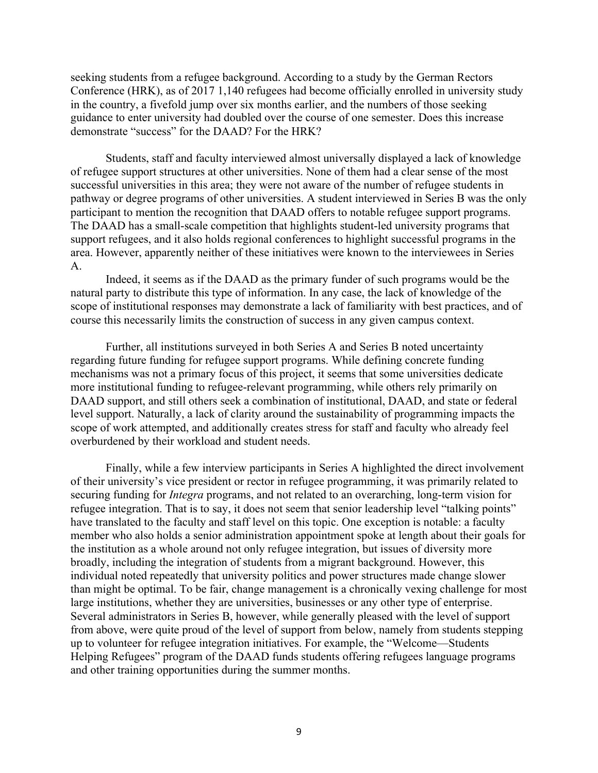seeking students from a refugee background. According to a study by the German Rectors Conference (HRK), as of 2017 1,140 refugees had become officially enrolled in university study in the country, a fivefold jump over six months earlier, and the numbers of those seeking guidance to enter university had doubled over the course of one semester. Does this increase demonstrate "success" for the DAAD? For the HRK?

Students, staff and faculty interviewed almost universally displayed a lack of knowledge of refugee support structures at other universities. None of them had a clear sense of the most successful universities in this area; they were not aware of the number of refugee students in pathway or degree programs of other universities. A student interviewed in Series B was the only participant to mention the recognition that DAAD offers to notable refugee support programs. The DAAD has a small-scale competition that highlights student-led university programs that support refugees, and it also holds regional conferences to highlight successful programs in the area. However, apparently neither of these initiatives were known to the interviewees in Series A.

Indeed, it seems as if the DAAD as the primary funder of such programs would be the natural party to distribute this type of information. In any case, the lack of knowledge of the scope of institutional responses may demonstrate a lack of familiarity with best practices, and of course this necessarily limits the construction of success in any given campus context.

Further, all institutions surveyed in both Series A and Series B noted uncertainty regarding future funding for refugee support programs. While defining concrete funding mechanisms was not a primary focus of this project, it seems that some universities dedicate more institutional funding to refugee-relevant programming, while others rely primarily on DAAD support, and still others seek a combination of institutional, DAAD, and state or federal level support. Naturally, a lack of clarity around the sustainability of programming impacts the scope of work attempted, and additionally creates stress for staff and faculty who already feel overburdened by their workload and student needs.

Finally, while a few interview participants in Series A highlighted the direct involvement of their university's vice president or rector in refugee programming, it was primarily related to securing funding for *Integra* programs, and not related to an overarching, long-term vision for refugee integration. That is to say, it does not seem that senior leadership level "talking points" have translated to the faculty and staff level on this topic. One exception is notable: a faculty member who also holds a senior administration appointment spoke at length about their goals for the institution as a whole around not only refugee integration, but issues of diversity more broadly, including the integration of students from a migrant background. However, this individual noted repeatedly that university politics and power structures made change slower than might be optimal. To be fair, change management is a chronically vexing challenge for most large institutions, whether they are universities, businesses or any other type of enterprise. Several administrators in Series B, however, while generally pleased with the level of support from above, were quite proud of the level of support from below, namely from students stepping up to volunteer for refugee integration initiatives. For example, the "Welcome—Students Helping Refugees" program of the DAAD funds students offering refugees language programs and other training opportunities during the summer months.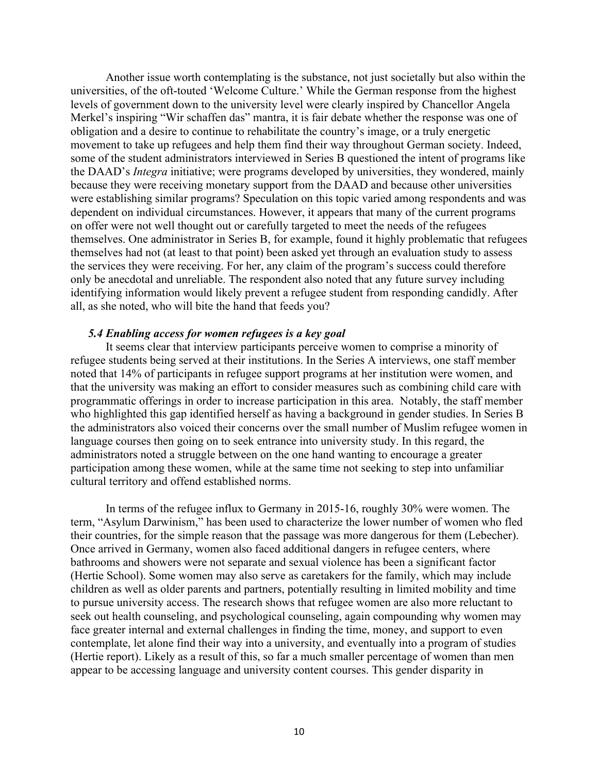Another issue worth contemplating is the substance, not just societally but also within the universities, of the oft-touted 'Welcome Culture.' While the German response from the highest levels of government down to the university level were clearly inspired by Chancellor Angela Merkel's inspiring "Wir schaffen das" mantra, it is fair debate whether the response was one of obligation and a desire to continue to rehabilitate the country's image, or a truly energetic movement to take up refugees and help them find their way throughout German society. Indeed, some of the student administrators interviewed in Series B questioned the intent of programs like the DAAD's *Integra* initiative; were programs developed by universities, they wondered, mainly because they were receiving monetary support from the DAAD and because other universities were establishing similar programs? Speculation on this topic varied among respondents and was dependent on individual circumstances. However, it appears that many of the current programs on offer were not well thought out or carefully targeted to meet the needs of the refugees themselves. One administrator in Series B, for example, found it highly problematic that refugees themselves had not (at least to that point) been asked yet through an evaluation study to assess the services they were receiving. For her, any claim of the program's success could therefore only be anecdotal and unreliable. The respondent also noted that any future survey including identifying information would likely prevent a refugee student from responding candidly. After all, as she noted, who will bite the hand that feeds you?

#### *5.4 Enabling access for women refugees is a key goal*

It seems clear that interview participants perceive women to comprise a minority of refugee students being served at their institutions. In the Series A interviews, one staff member noted that 14% of participants in refugee support programs at her institution were women, and that the university was making an effort to consider measures such as combining child care with programmatic offerings in order to increase participation in this area. Notably, the staff member who highlighted this gap identified herself as having a background in gender studies. In Series B the administrators also voiced their concerns over the small number of Muslim refugee women in language courses then going on to seek entrance into university study. In this regard, the administrators noted a struggle between on the one hand wanting to encourage a greater participation among these women, while at the same time not seeking to step into unfamiliar cultural territory and offend established norms.

In terms of the refugee influx to Germany in 2015-16, roughly 30% were women. The term, "Asylum Darwinism," has been used to characterize the lower number of women who fled their countries, for the simple reason that the passage was more dangerous for them (Lebecher). Once arrived in Germany, women also faced additional dangers in refugee centers, where bathrooms and showers were not separate and sexual violence has been a significant factor (Hertie School). Some women may also serve as caretakers for the family, which may include children as well as older parents and partners, potentially resulting in limited mobility and time to pursue university access. The research shows that refugee women are also more reluctant to seek out health counseling, and psychological counseling, again compounding why women may face greater internal and external challenges in finding the time, money, and support to even contemplate, let alone find their way into a university, and eventually into a program of studies (Hertie report). Likely as a result of this, so far a much smaller percentage of women than men appear to be accessing language and university content courses. This gender disparity in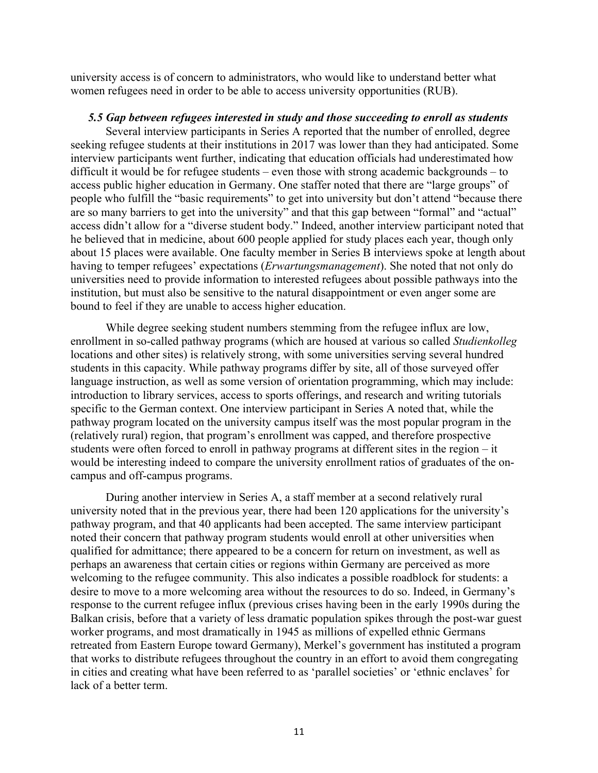university access is of concern to administrators, who would like to understand better what women refugees need in order to be able to access university opportunities (RUB).

#### *5.5 Gap between refugees interested in study and those succeeding to enroll as students*

Several interview participants in Series A reported that the number of enrolled, degree seeking refugee students at their institutions in 2017 was lower than they had anticipated. Some interview participants went further, indicating that education officials had underestimated how difficult it would be for refugee students – even those with strong academic backgrounds – to access public higher education in Germany. One staffer noted that there are "large groups" of people who fulfill the "basic requirements" to get into university but don't attend "because there are so many barriers to get into the university" and that this gap between "formal" and "actual" access didn't allow for a "diverse student body." Indeed, another interview participant noted that he believed that in medicine, about 600 people applied for study places each year, though only about 15 places were available. One faculty member in Series B interviews spoke at length about having to temper refugees' expectations (*Erwartungsmanagement*). She noted that not only do universities need to provide information to interested refugees about possible pathways into the institution, but must also be sensitive to the natural disappointment or even anger some are bound to feel if they are unable to access higher education.

While degree seeking student numbers stemming from the refugee influx are low, enrollment in so-called pathway programs (which are housed at various so called *Studienkolleg* locations and other sites) is relatively strong, with some universities serving several hundred students in this capacity. While pathway programs differ by site, all of those surveyed offer language instruction, as well as some version of orientation programming, which may include: introduction to library services, access to sports offerings, and research and writing tutorials specific to the German context. One interview participant in Series A noted that, while the pathway program located on the university campus itself was the most popular program in the (relatively rural) region, that program's enrollment was capped, and therefore prospective students were often forced to enroll in pathway programs at different sites in the region – it would be interesting indeed to compare the university enrollment ratios of graduates of the oncampus and off-campus programs.

During another interview in Series A, a staff member at a second relatively rural university noted that in the previous year, there had been 120 applications for the university's pathway program, and that 40 applicants had been accepted. The same interview participant noted their concern that pathway program students would enroll at other universities when qualified for admittance; there appeared to be a concern for return on investment, as well as perhaps an awareness that certain cities or regions within Germany are perceived as more welcoming to the refugee community. This also indicates a possible roadblock for students: a desire to move to a more welcoming area without the resources to do so. Indeed, in Germany's response to the current refugee influx (previous crises having been in the early 1990s during the Balkan crisis, before that a variety of less dramatic population spikes through the post-war guest worker programs, and most dramatically in 1945 as millions of expelled ethnic Germans retreated from Eastern Europe toward Germany), Merkel's government has instituted a program that works to distribute refugees throughout the country in an effort to avoid them congregating in cities and creating what have been referred to as 'parallel societies' or 'ethnic enclaves' for lack of a better term.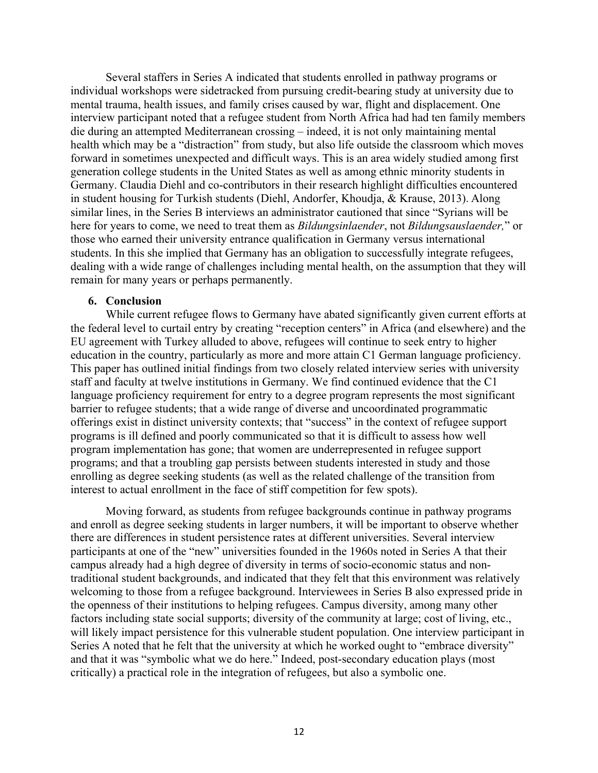Several staffers in Series A indicated that students enrolled in pathway programs or individual workshops were sidetracked from pursuing credit-bearing study at university due to mental trauma, health issues, and family crises caused by war, flight and displacement. One interview participant noted that a refugee student from North Africa had had ten family members die during an attempted Mediterranean crossing – indeed, it is not only maintaining mental health which may be a "distraction" from study, but also life outside the classroom which moves forward in sometimes unexpected and difficult ways. This is an area widely studied among first generation college students in the United States as well as among ethnic minority students in Germany. Claudia Diehl and co-contributors in their research highlight difficulties encountered in student housing for Turkish students (Diehl, Andorfer, Khoudja, & Krause, 2013). Along similar lines, in the Series B interviews an administrator cautioned that since "Syrians will be here for years to come, we need to treat them as *Bildungsinlaender*, not *Bildungsauslaender,*" or those who earned their university entrance qualification in Germany versus international students. In this she implied that Germany has an obligation to successfully integrate refugees, dealing with a wide range of challenges including mental health, on the assumption that they will remain for many years or perhaps permanently.

#### **6. Conclusion**

While current refugee flows to Germany have abated significantly given current efforts at the federal level to curtail entry by creating "reception centers" in Africa (and elsewhere) and the EU agreement with Turkey alluded to above, refugees will continue to seek entry to higher education in the country, particularly as more and more attain C1 German language proficiency. This paper has outlined initial findings from two closely related interview series with university staff and faculty at twelve institutions in Germany. We find continued evidence that the C1 language proficiency requirement for entry to a degree program represents the most significant barrier to refugee students; that a wide range of diverse and uncoordinated programmatic offerings exist in distinct university contexts; that "success" in the context of refugee support programs is ill defined and poorly communicated so that it is difficult to assess how well program implementation has gone; that women are underrepresented in refugee support programs; and that a troubling gap persists between students interested in study and those enrolling as degree seeking students (as well as the related challenge of the transition from interest to actual enrollment in the face of stiff competition for few spots).

Moving forward, as students from refugee backgrounds continue in pathway programs and enroll as degree seeking students in larger numbers, it will be important to observe whether there are differences in student persistence rates at different universities. Several interview participants at one of the "new" universities founded in the 1960s noted in Series A that their campus already had a high degree of diversity in terms of socio-economic status and nontraditional student backgrounds, and indicated that they felt that this environment was relatively welcoming to those from a refugee background. Interviewees in Series B also expressed pride in the openness of their institutions to helping refugees. Campus diversity, among many other factors including state social supports; diversity of the community at large; cost of living, etc., will likely impact persistence for this vulnerable student population. One interview participant in Series A noted that he felt that the university at which he worked ought to "embrace diversity" and that it was "symbolic what we do here." Indeed, post-secondary education plays (most critically) a practical role in the integration of refugees, but also a symbolic one.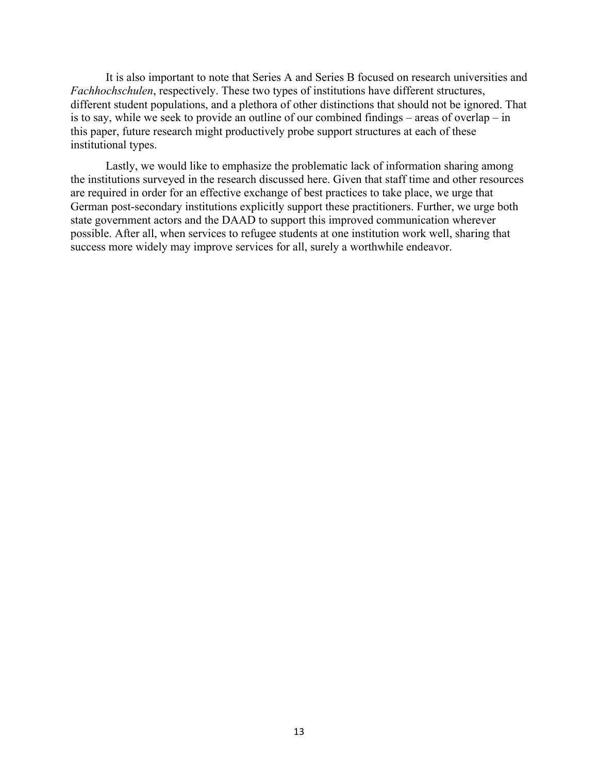It is also important to note that Series A and Series B focused on research universities and *Fachhochschulen*, respectively. These two types of institutions have different structures, different student populations, and a plethora of other distinctions that should not be ignored. That is to say, while we seek to provide an outline of our combined findings – areas of overlap – in this paper, future research might productively probe support structures at each of these institutional types.

Lastly, we would like to emphasize the problematic lack of information sharing among the institutions surveyed in the research discussed here. Given that staff time and other resources are required in order for an effective exchange of best practices to take place, we urge that German post-secondary institutions explicitly support these practitioners. Further, we urge both state government actors and the DAAD to support this improved communication wherever possible. After all, when services to refugee students at one institution work well, sharing that success more widely may improve services for all, surely a worthwhile endeavor.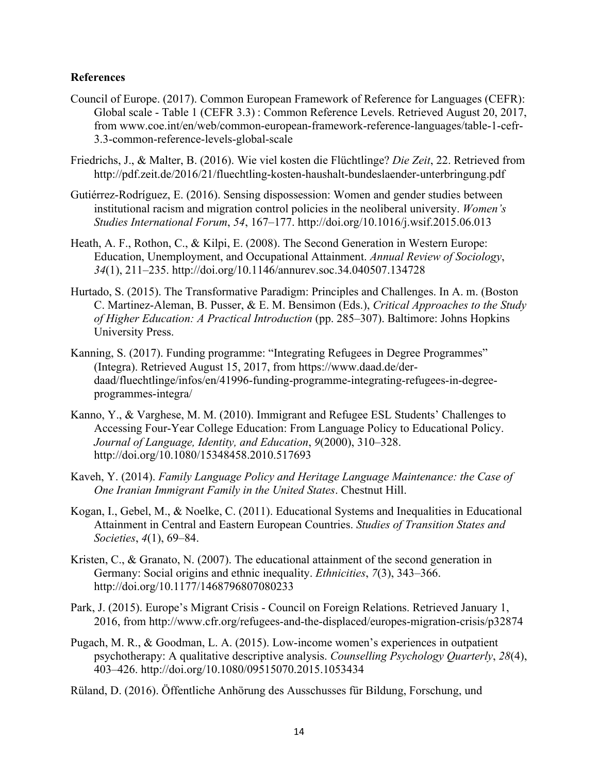# **References**

- Council of Europe. (2017). Common European Framework of Reference for Languages (CEFR): Global scale - Table 1 (CEFR 3.3) : Common Reference Levels. Retrieved August 20, 2017, from www.coe.int/en/web/common-european-framework-reference-languages/table-1-cefr-3.3-common-reference-levels-global-scale
- Friedrichs, J., & Malter, B. (2016). Wie viel kosten die Flüchtlinge? *Die Zeit*, 22. Retrieved from http://pdf.zeit.de/2016/21/fluechtling-kosten-haushalt-bundeslaender-unterbringung.pdf
- Gutiérrez-Rodríguez, E. (2016). Sensing dispossession: Women and gender studies between institutional racism and migration control policies in the neoliberal university. *Women's Studies International Forum*, *54*, 167–177. http://doi.org/10.1016/j.wsif.2015.06.013
- Heath, A. F., Rothon, C., & Kilpi, E. (2008). The Second Generation in Western Europe: Education, Unemployment, and Occupational Attainment. *Annual Review of Sociology*, *34*(1), 211–235. http://doi.org/10.1146/annurev.soc.34.040507.134728
- Hurtado, S. (2015). The Transformative Paradigm: Principles and Challenges. In A. m. (Boston C. Martinez-Aleman, B. Pusser, & E. M. Bensimon (Eds.), *Critical Approaches to the Study of Higher Education: A Practical Introduction* (pp. 285–307). Baltimore: Johns Hopkins University Press.
- Kanning, S. (2017). Funding programme: "Integrating Refugees in Degree Programmes" (Integra). Retrieved August 15, 2017, from https://www.daad.de/derdaad/fluechtlinge/infos/en/41996-funding-programme-integrating-refugees-in-degreeprogrammes-integra/
- Kanno, Y., & Varghese, M. M. (2010). Immigrant and Refugee ESL Students' Challenges to Accessing Four-Year College Education: From Language Policy to Educational Policy. *Journal of Language, Identity, and Education*, *9*(2000), 310–328. http://doi.org/10.1080/15348458.2010.517693
- Kaveh, Y. (2014). *Family Language Policy and Heritage Language Maintenance: the Case of One Iranian Immigrant Family in the United States*. Chestnut Hill.
- Kogan, I., Gebel, M., & Noelke, C. (2011). Educational Systems and Inequalities in Educational Attainment in Central and Eastern European Countries. *Studies of Transition States and Societies*, *4*(1), 69–84.
- Kristen, C., & Granato, N. (2007). The educational attainment of the second generation in Germany: Social origins and ethnic inequality. *Ethnicities*, *7*(3), 343–366. http://doi.org/10.1177/1468796807080233
- Park, J. (2015). Europe's Migrant Crisis Council on Foreign Relations. Retrieved January 1, 2016, from http://www.cfr.org/refugees-and-the-displaced/europes-migration-crisis/p32874
- Pugach, M. R., & Goodman, L. A. (2015). Low-income women's experiences in outpatient psychotherapy: A qualitative descriptive analysis. *Counselling Psychology Quarterly*, *28*(4), 403–426. http://doi.org/10.1080/09515070.2015.1053434
- Rüland, D. (2016). Öffentliche Anhörung des Ausschusses für Bildung, Forschung, und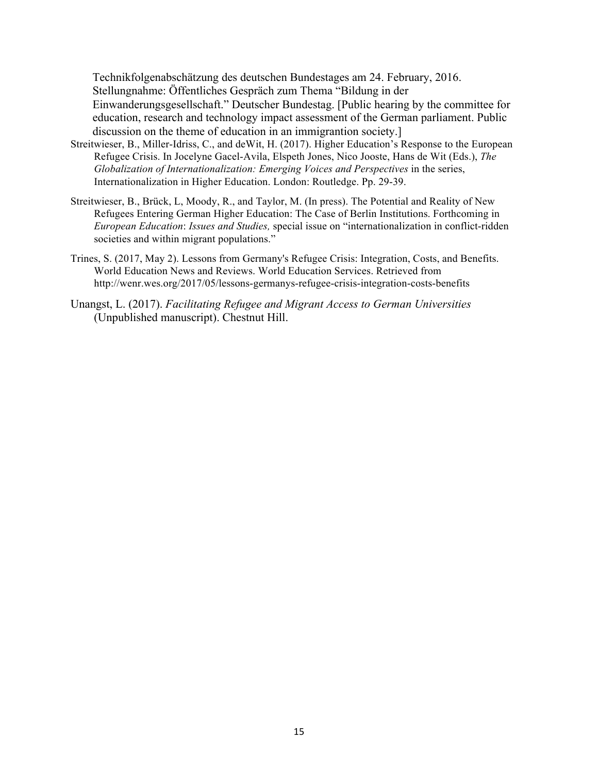Technikfolgenabschätzung des deutschen Bundestages am 24. February, 2016. Stellungnahme: Öffentliches Gespräch zum Thema "Bildung in der Einwanderungsgesellschaft." Deutscher Bundestag. [Public hearing by the committee for education, research and technology impact assessment of the German parliament. Public discussion on the theme of education in an immigrantion society.]

- Streitwieser, B., Miller-Idriss, C., and deWit, H. (2017). Higher Education's Response to the European Refugee Crisis. In Jocelyne Gacel-Avila, Elspeth Jones, Nico Jooste, Hans de Wit (Eds.), *The Globalization of Internationalization: Emerging Voices and Perspectives* in the series, Internationalization in Higher Education. London: Routledge. Pp. 29-39.
- Streitwieser, B., Brück, L, Moody, R., and Taylor, M. (In press). The Potential and Reality of New Refugees Entering German Higher Education: The Case of Berlin Institutions. Forthcoming in *European Education*: *Issues and Studies,* special issue on "internationalization in conflict-ridden societies and within migrant populations."
- Trines, S. (2017, May 2). Lessons from Germany's Refugee Crisis: Integration, Costs, and Benefits. World Education News and Reviews. World Education Services. Retrieved from http://wenr.wes.org/2017/05/lessons-germanys-refugee-crisis-integration-costs-benefits
- Unangst, L. (2017). *Facilitating Refugee and Migrant Access to German Universities* (Unpublished manuscript). Chestnut Hill.